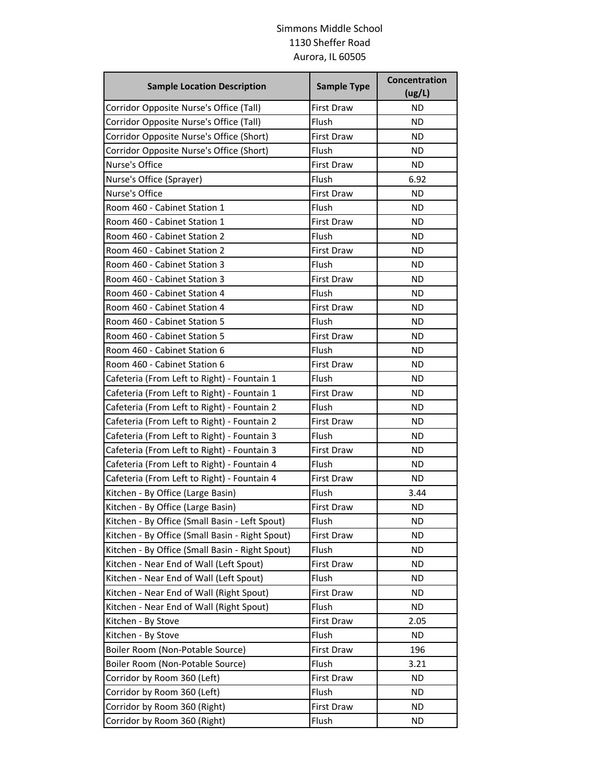## Simmons Middle School 1130 Sheffer Road Aurora, IL 60505

| <b>Sample Location Description</b>              | <b>Sample Type</b> | Concentration<br>(ug/L) |
|-------------------------------------------------|--------------------|-------------------------|
| Corridor Opposite Nurse's Office (Tall)         | <b>First Draw</b>  | <b>ND</b>               |
| Corridor Opposite Nurse's Office (Tall)         | Flush              | <b>ND</b>               |
| Corridor Opposite Nurse's Office (Short)        | <b>First Draw</b>  | ΝD                      |
| Corridor Opposite Nurse's Office (Short)        | Flush              | ND                      |
| Nurse's Office                                  | <b>First Draw</b>  | <b>ND</b>               |
| Nurse's Office (Sprayer)                        | Flush              | 6.92                    |
| Nurse's Office                                  | First Draw         | ND                      |
| Room 460 - Cabinet Station 1                    | Flush              | ΝD                      |
| Room 460 - Cabinet Station 1                    | <b>First Draw</b>  | ND                      |
| Room 460 - Cabinet Station 2                    | Flush              | <b>ND</b>               |
| Room 460 - Cabinet Station 2                    | <b>First Draw</b>  | <b>ND</b>               |
| Room 460 - Cabinet Station 3                    | Flush              | ΝD                      |
| Room 460 - Cabinet Station 3                    | <b>First Draw</b>  | ΝD                      |
| Room 460 - Cabinet Station 4                    | Flush              | ND                      |
| Room 460 - Cabinet Station 4                    | <b>First Draw</b>  | <b>ND</b>               |
| Room 460 - Cabinet Station 5                    | Flush              | <b>ND</b>               |
| Room 460 - Cabinet Station 5                    | <b>First Draw</b>  | ΝD                      |
| Room 460 - Cabinet Station 6                    | Flush              | ΝD                      |
| Room 460 - Cabinet Station 6                    | <b>First Draw</b>  | ND                      |
| Cafeteria (From Left to Right) - Fountain 1     | Flush              | <b>ND</b>               |
| Cafeteria (From Left to Right) - Fountain 1     | <b>First Draw</b>  | <b>ND</b>               |
| Cafeteria (From Left to Right) - Fountain 2     | Flush              | ΝD                      |
| Cafeteria (From Left to Right) - Fountain 2     | <b>First Draw</b>  | ΝD                      |
| Cafeteria (From Left to Right) - Fountain 3     | Flush              | ND                      |
| Cafeteria (From Left to Right) - Fountain 3     | <b>First Draw</b>  | <b>ND</b>               |
| Cafeteria (From Left to Right) - Fountain 4     | Flush              | <b>ND</b>               |
| Cafeteria (From Left to Right) - Fountain 4     | <b>First Draw</b>  | <b>ND</b>               |
| Kitchen - By Office (Large Basin)               | Flush              | 3.44                    |
| Kitchen - By Office (Large Basin)               | <b>First Draw</b>  | ND                      |
| Kitchen - By Office (Small Basin - Left Spout)  | Flush              | <b>ND</b>               |
| Kitchen - By Office (Small Basin - Right Spout) | First Draw         | ND.                     |
| Kitchen - By Office (Small Basin - Right Spout) | Flush              | ND.                     |
| Kitchen - Near End of Wall (Left Spout)         | <b>First Draw</b>  | <b>ND</b>               |
| Kitchen - Near End of Wall (Left Spout)         | Flush              | <b>ND</b>               |
| Kitchen - Near End of Wall (Right Spout)        | First Draw         | <b>ND</b>               |
| Kitchen - Near End of Wall (Right Spout)        | Flush              | ND                      |
| Kitchen - By Stove                              | <b>First Draw</b>  | 2.05                    |
| Kitchen - By Stove                              | Flush              | ND.                     |
| Boiler Room (Non-Potable Source)                | First Draw         | 196                     |
| Boiler Room (Non-Potable Source)                | Flush              | 3.21                    |
| Corridor by Room 360 (Left)                     | First Draw         | ND.                     |
| Corridor by Room 360 (Left)                     | Flush              | ND.                     |
| Corridor by Room 360 (Right)                    | <b>First Draw</b>  | ND.                     |
| Corridor by Room 360 (Right)                    | Flush              | ND.                     |